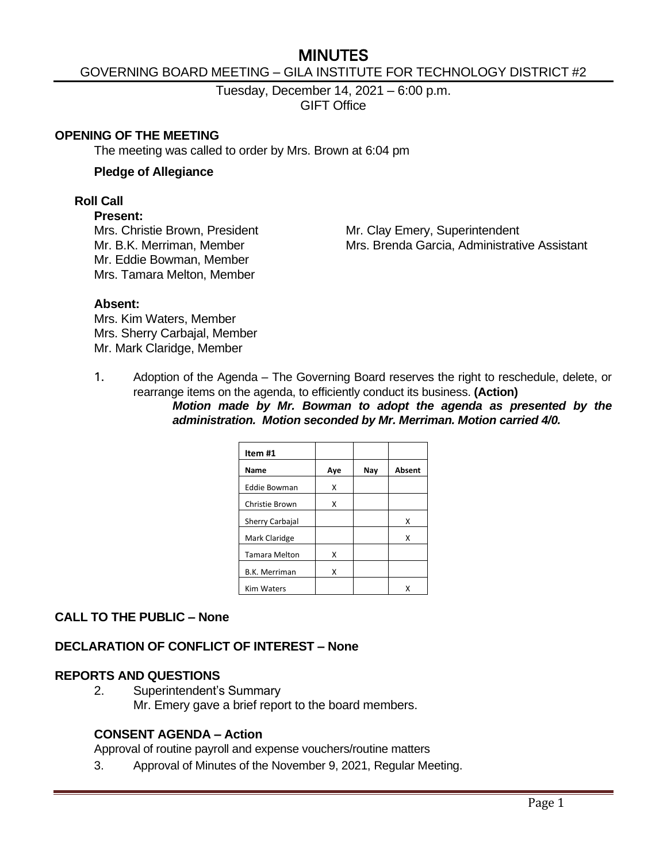# **MINUTES**

## GOVERNING BOARD MEETING – GILA INSTITUTE FOR TECHNOLOGY DISTRICT #2

Tuesday, December 14, 2021 – 6:00 p.m. GIFT Office

#### **OPENING OF THE MEETING**

The meeting was called to order by Mrs. Brown at 6:04 pm

#### **Pledge of Allegiance**

#### **Roll Call**

#### **Present:**

Mr. Eddie Bowman, Member Mrs. Tamara Melton, Member

Mrs. Christie Brown, President Mr. Clay Emery, Superintendent Mr. B.K. Merriman, Member Mrs. Brenda Garcia, Administrative Assistant

#### **Absent:**

Mrs. Kim Waters, Member Mrs. Sherry Carbajal, Member Mr. Mark Claridge, Member

1. Adoption of the Agenda – The Governing Board reserves the right to reschedule, delete, or rearrange items on the agenda, to efficiently conduct its business. **(Action)**

> *Motion made by Mr. Bowman to adopt the agenda as presented by the administration. Motion seconded by Mr. Merriman. Motion carried 4/0.*

| Item #1              |     |     |        |
|----------------------|-----|-----|--------|
| Name                 | Aye | Nay | Absent |
| <b>Eddie Bowman</b>  | χ   |     |        |
| Christie Brown       | χ   |     |        |
| Sherry Carbajal      |     |     | x      |
| Mark Claridge        |     |     | x      |
| <b>Tamara Melton</b> | x   |     |        |
| <b>B.K. Merriman</b> | x   |     |        |
| <b>Kim Waters</b>    |     |     |        |

# **CALL TO THE PUBLIC – None**

#### **DECLARATION OF CONFLICT OF INTEREST – None**

#### **REPORTS AND QUESTIONS**

2. Superintendent's Summary Mr. Emery gave a brief report to the board members.

#### **CONSENT AGENDA – Action**

Approval of routine payroll and expense vouchers/routine matters

3. Approval of Minutes of the November 9, 2021, Regular Meeting.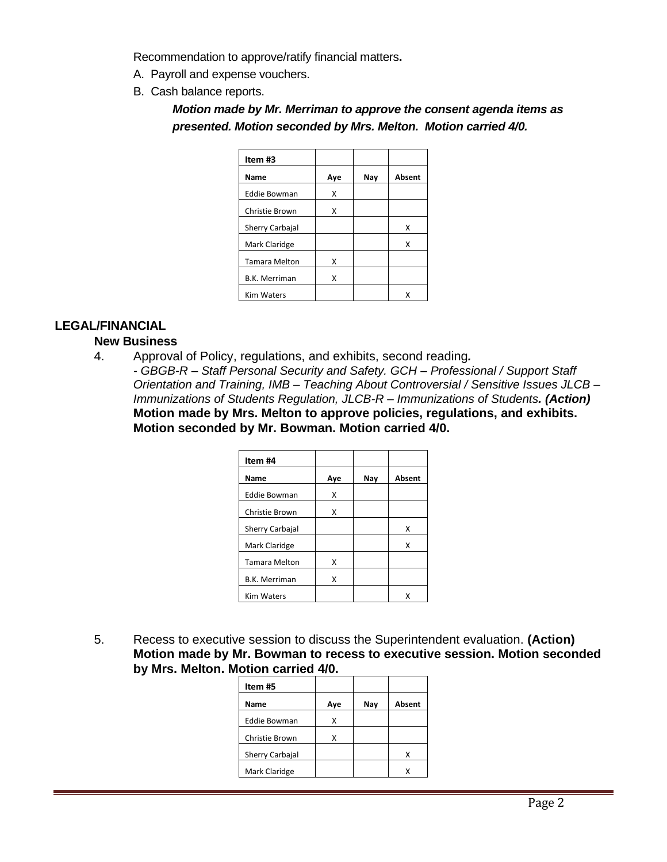Recommendation to approve/ratify financial matters**.**

- A. Payroll and expense vouchers.
- B. Cash balance reports.

*Motion made by Mr. Merriman to approve the consent agenda items as presented. Motion seconded by Mrs. Melton. Motion carried 4/0.*

| Item #3                |     |     |        |
|------------------------|-----|-----|--------|
| Name                   | Aye | Nav | Absent |
| <b>Eddie Bowman</b>    | x   |     |        |
| Christie Brown         | x   |     |        |
| <b>Sherry Carbajal</b> |     |     | x      |
| Mark Claridge          |     |     | x      |
| <b>Tamara Melton</b>   | x   |     |        |
| <b>B.K. Merriman</b>   | Χ   |     |        |
| <b>Kim Waters</b>      |     |     |        |

# **LEGAL/FINANCIAL**

## **New Business**

4. Approval of Policy, regulations, and exhibits, second reading*.*

*- GBGB-R – Staff Personal Security and Safety. GCH – Professional / Support Staff Orientation and Training, IMB – Teaching About Controversial / Sensitive Issues JLCB – Immunizations of Students Regulation, JLCB-R – Immunizations of Students. (Action)*  **Motion made by Mrs. Melton to approve policies, regulations, and exhibits. Motion seconded by Mr. Bowman. Motion carried 4/0.**

| Item #4              |     |     |        |
|----------------------|-----|-----|--------|
| Name                 | Ave | Nav | Absent |
| <b>Eddie Bowman</b>  | Χ   |     |        |
| Christie Brown       | x   |     |        |
| Sherry Carbajal      |     |     | x      |
| Mark Claridge        |     |     | х      |
| <b>Tamara Melton</b> | χ   |     |        |
| <b>B.K. Merriman</b> | x   |     |        |
| <b>Kim Waters</b>    |     |     |        |

5. Recess to executive session to discuss the Superintendent evaluation. **(Action) Motion made by Mr. Bowman to recess to executive session. Motion seconded by Mrs. Melton. Motion carried 4/0.**

| Item #5         |     |     |        |
|-----------------|-----|-----|--------|
| Name            | Ave | Nav | Absent |
| Eddie Bowman    | x   |     |        |
| Christie Brown  | x   |     |        |
| Sherry Carbajal |     |     | x      |
| Mark Claridge   |     |     |        |